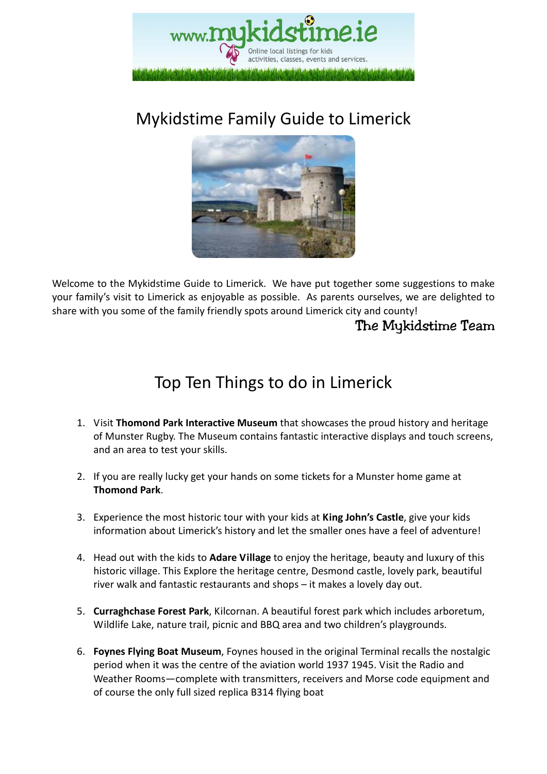

# Mykidstime Family Guide to Limerick



Welcome to the Mykidstime Guide to Limerick. We have put together some suggestions to make your family's visit to Limerick as enjoyable as possible. As parents ourselves, we are delighted to share with you some of the family friendly spots around Limerick city and county!

The Mykidstime Team

# Top Ten Things to do in Limerick

- 1. Visit **Thomond Park Interactive Museum** that showcases the proud history and heritage of Munster Rugby. The Museum contains fantastic interactive displays and touch screens, and an area to test your skills.
- 2. If you are really lucky get your hands on some tickets for a Munster home game at **Thomond Park**.
- 3. Experience the most historic tour with your kids at **King John's Castle**, give your kids information about Limerick's history and let the smaller ones have a feel of adventure!
- 4. Head out with the kids to **Adare Village** to enjoy the heritage, beauty and luxury of this historic village. This Explore the heritage centre, Desmond castle, lovely park, beautiful river walk and fantastic restaurants and shops – it makes a lovely day out.
- 5. **Curraghchase Forest Park**, Kilcornan. A beautiful forest park which includes arboretum, Wildlife Lake, nature trail, picnic and BBQ area and two children's playgrounds.
- 6. **Foynes Flying Boat Museum**, Foynes housed in the original Terminal recalls the nostalgic period when it was the centre of the aviation world 1937 1945. Visit the Radio and Weather Rooms—complete with transmitters, receivers and Morse code equipment and of course the only full sized replica B314 flying boat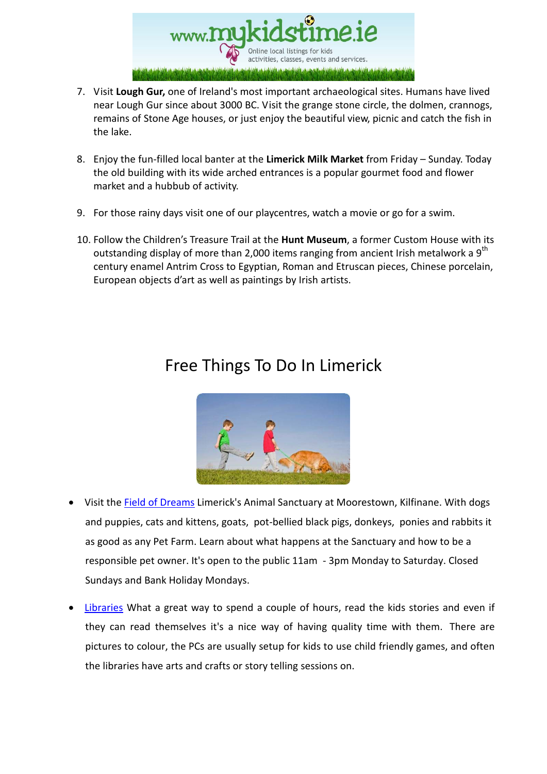

- 7. Visit **Lough Gur,** one of Ireland's most important archaeological sites. Humans have lived near Lough Gur since about 3000 BC. Visit the grange stone circle, the dolmen, crannogs, remains of Stone Age houses, or just enjoy the beautiful view, picnic and catch the fish in the lake.
- 8. Enjoy the fun-filled local banter at the **Limerick Milk Market** from Friday Sunday. Today the old building with its wide arched entrances is a popular gourmet food and flower market and a hubbub of activity.
- 9. For those rainy days visit one of our playcentres, watch a movie or go for a swim.
- 10. Follow the Children's Treasure Trail at the **Hunt Museum**, a former Custom House with its outstanding display of more than 2,000 items ranging from ancient Irish metalwork a  $9<sup>th</sup>$ century enamel Antrim Cross to Egyptian, Roman and Etruscan pieces, Chinese porcelain, European objects d'art as well as paintings by Irish artists.

### Free Things To Do In Limerick



- Visit the Field of Dreams Limerick's Animal Sanctuary at Moorestown, Kilfinane. With dogs and puppies, cats and kittens, goats, pot-bellied black pigs, donkeys, ponies and rabbits it as good as any Pet Farm. Learn about what happens at the Sanctuary and how to be a responsible pet owner. It's open to the public 11am - 3pm Monday to Saturday. Closed Sundays and Bank Holiday Mondays.
- Libraries What a great way to spend a couple of hours, read the kids stories and even if they can read themselves it's a nice way of having quality time with them. There are pictures to colour, the PCs are usually setup for kids to use child friendly games, and often the libraries have arts and crafts or story telling sessions on.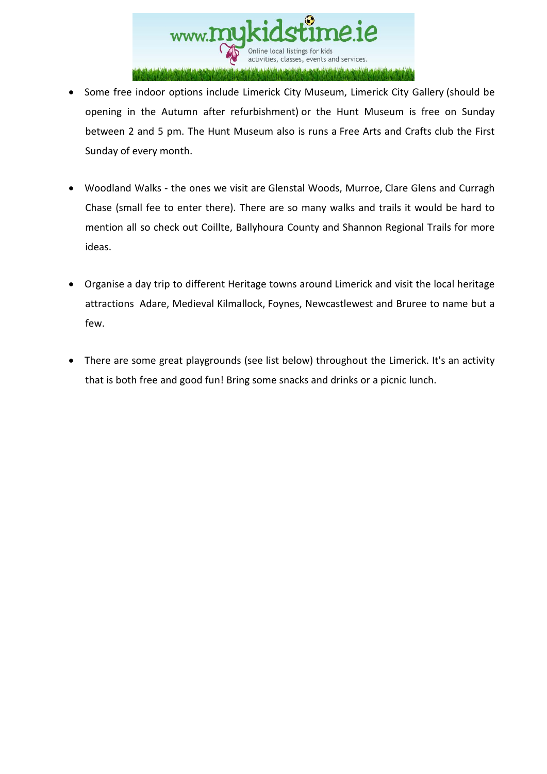

- Some free indoor options include Limerick City Museum, Limerick City Gallery (should be opening in the Autumn after refurbishment) or the Hunt Museum is free on Sunday between 2 and 5 pm. The Hunt Museum also is runs a Free Arts and Crafts club the First Sunday of every month.
- Woodland Walks the ones we visit are Glenstal Woods, Murroe, Clare Glens and Curragh Chase (small fee to enter there). There are so many walks and trails it would be hard to mention all so check out Coillte, Ballyhoura County and Shannon Regional Trails for more ideas.
- Organise a day trip to different Heritage towns around Limerick and visit the local heritage attractions Adare, Medieval Kilmallock, Foynes, Newcastlewest and Bruree to name but a few.
- There are some great playgrounds (see list below) throughout the Limerick. It's an activity that is both free and good fun! Bring some snacks and drinks or a picnic lunch.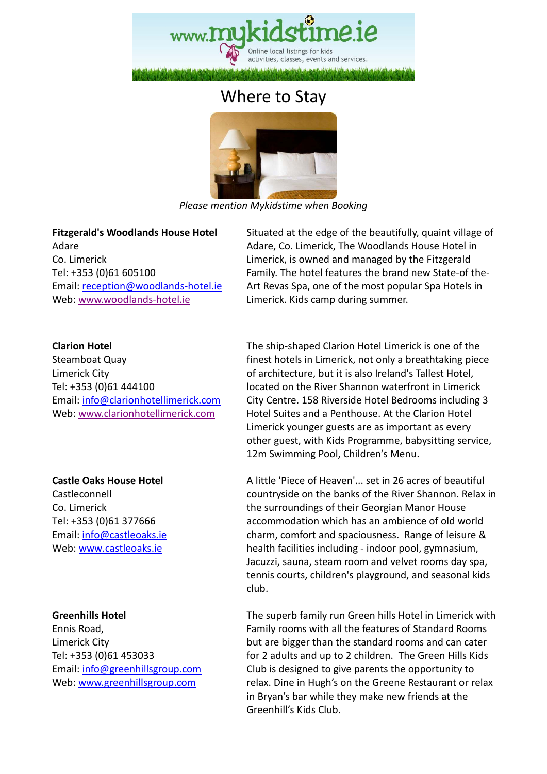

### Where to Stay



*Please mention Mykidstime when Booking* 

**Fitzgerald's Woodlands House Hotel**  Adare Co. Limerick Tel: +353 (0)61 605100 Email: reception@woodlands-hotel.ie Web: www.woodlands-hotel.ie

**Clarion Hotel** 

Steamboat Quay Limerick City Tel: +353 (0)61 444100 Email: info@clarionhotellimerick.com Web: www.clarionhotellimerick.com

**Castle Oaks House Hotel** 

Castleconnell Co. Limerick Tel: +353 (0)61 377666 Email: info@castleoaks.ie Web: www.castleoaks.ie

#### **Greenhills Hotel**

Ennis Road, Limerick City Tel: +353 (0)61 453033 Email: info@greenhillsgroup.com Web: www.greenhillsgroup.com

 Situated at the edge of the beautifully, quaint village of Adare, Co. Limerick, The Woodlands House Hotel in Limerick, is owned and managed by the Fitzgerald Family. The hotel features the brand new State-of the-Art Revas Spa, one of the most popular Spa Hotels in Limerick. Kids camp during summer.

 The ship-shaped Clarion Hotel Limerick is one of the finest hotels in Limerick, not only a breathtaking piece of architecture, but it is also Ireland's Tallest Hotel, located on the River Shannon waterfront in Limerick City Centre. 158 Riverside Hotel Bedrooms including 3 Hotel Suites and a Penthouse. At the Clarion Hotel Limerick younger guests are as important as every other guest, with Kids Programme, babysitting service, 12m Swimming Pool, Children's Menu.

 A little 'Piece of Heaven'... set in 26 acres of beautiful countryside on the banks of the River Shannon. Relax in the surroundings of their Georgian Manor House accommodation which has an ambience of old world charm, comfort and spaciousness. Range of leisure & health facilities including - indoor pool, gymnasium, Jacuzzi, sauna, steam room and velvet rooms day spa, tennis courts, children's playground, and seasonal kids club.

 The superb family run Green hills Hotel in Limerick with Family rooms with all the features of Standard Rooms but are bigger than the standard rooms and can cater for 2 adults and up to 2 children. The Green Hills Kids Club is designed to give parents the opportunity to relax. Dine in Hugh's on the Greene Restaurant or relax in Bryan's bar while they make new friends at the Greenhill's Kids Club.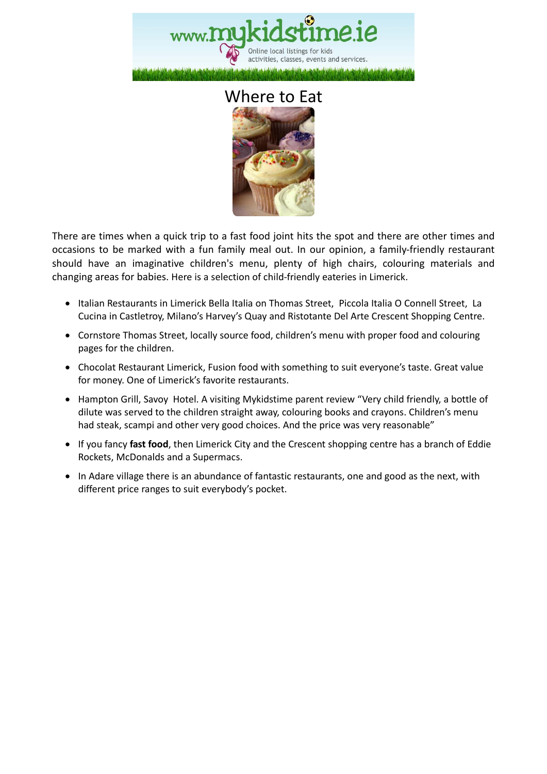

#### Where to Eat



There are times when a quick trip to a fast food joint hits the spot and there are other times and occasions to be marked with a fun family meal out. In our opinion, a family-friendly restaurant should have an imaginative children's menu, plenty of high chairs, colouring materials and changing areas for babies. Here is a selection of child-friendly eateries in Limerick.

- Italian Restaurants in Limerick Bella Italia on Thomas Street, Piccola Italia O Connell Street, La Cucina in Castletroy, Milano's Harvey's Quay and Ristotante Del Arte Crescent Shopping Centre.
- Cornstore Thomas Street, locally source food, children's menu with proper food and colouring pages for the children.
- Chocolat Restaurant Limerick, Fusion food with something to suit everyone's taste. Great value for money. One of Limerick's favorite restaurants.
- Hampton Grill, Savoy Hotel. A visiting Mykidstime parent review "Very child friendly, a bottle of dilute was served to the children straight away, colouring books and crayons. Children's menu had steak, scampi and other very good choices. And the price was very reasonable"
- If you fancy **fast food**, then Limerick City and the Crescent shopping centre has a branch of Eddie Rockets, McDonalds and a Supermacs.
- In Adare village there is an abundance of fantastic restaurants, one and good as the next, with different price ranges to suit everybody's pocket.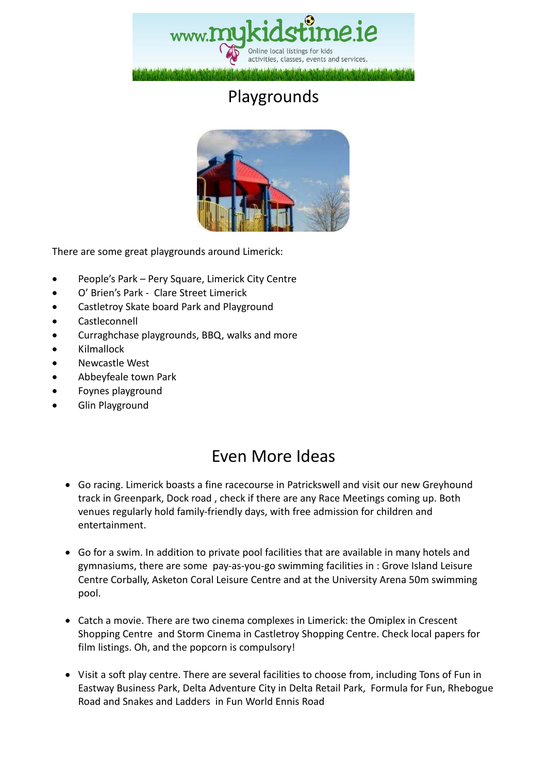

# Playgrounds



There are some great playgrounds around Limerick:

- People's Park Pery Square, Limerick City Centre
- O' Brien's Park Clare Street Limerick
- Castletroy Skate board Park and Playground
- **Castleconnell**
- Curraghchase playgrounds, BBQ, walks and more
- Kilmallock
- Newcastle West
- Abbeyfeale town Park
- Foynes playground
- Glin Playground

### Even More Ideas

- Go racing. Limerick boasts a fine racecourse in Patrickswell and visit our new Greyhound track in Greenpark, Dock road , check if there are any Race Meetings coming up. Both venues regularly hold family-friendly days, with free admission for children and entertainment.
- Go for a swim. In addition to private pool facilities that are available in many hotels and gymnasiums, there are some pay-as-you-go swimming facilities in : Grove Island Leisure Centre Corbally, Asketon Coral Leisure Centre and at the University Arena 50m swimming pool.
- Catch a movie. There are two cinema complexes in Limerick: the Omiplex in Crescent Shopping Centre and Storm Cinema in Castletroy Shopping Centre. Check local papers for film listings. Oh, and the popcorn is compulsory!
- Visit a soft play centre. There are several facilities to choose from, including Tons of Fun in Eastway Business Park, Delta Adventure City in Delta Retail Park, Formula for Fun, Rhebogue Road and Snakes and Ladders in Fun World Ennis Road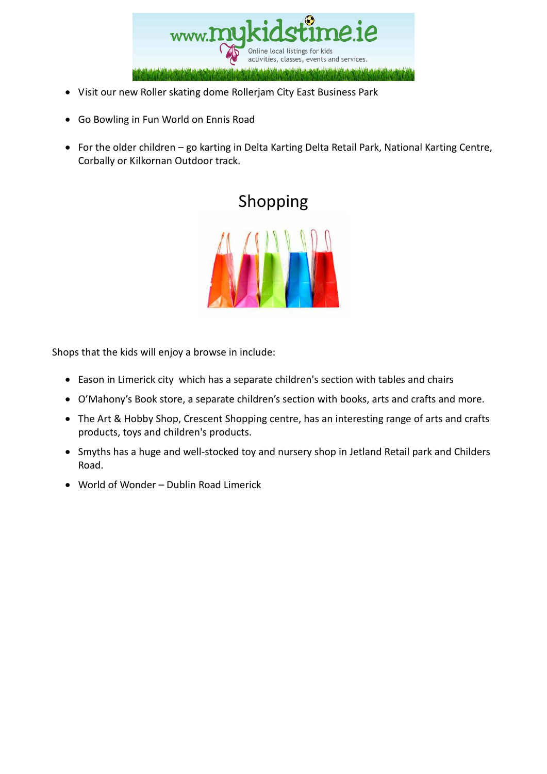

- Visit our new Roller skating dome Rollerjam City East Business Park
- Go Bowling in Fun World on Ennis Road
- For the older children go karting in Delta Karting Delta Retail Park, National Karting Centre, Corbally or Kilkornan Outdoor track.



Shops that the kids will enjoy a browse in include:

- Eason in Limerick city which has a separate children's section with tables and chairs
- O'Mahony's Book store, a separate children's section with books, arts and crafts and more.
- The Art & Hobby Shop, Crescent Shopping centre, has an interesting range of arts and crafts products, toys and children's products.
- Smyths has a huge and well-stocked toy and nursery shop in Jetland Retail park and Childers Road.
- World of Wonder Dublin Road Limerick